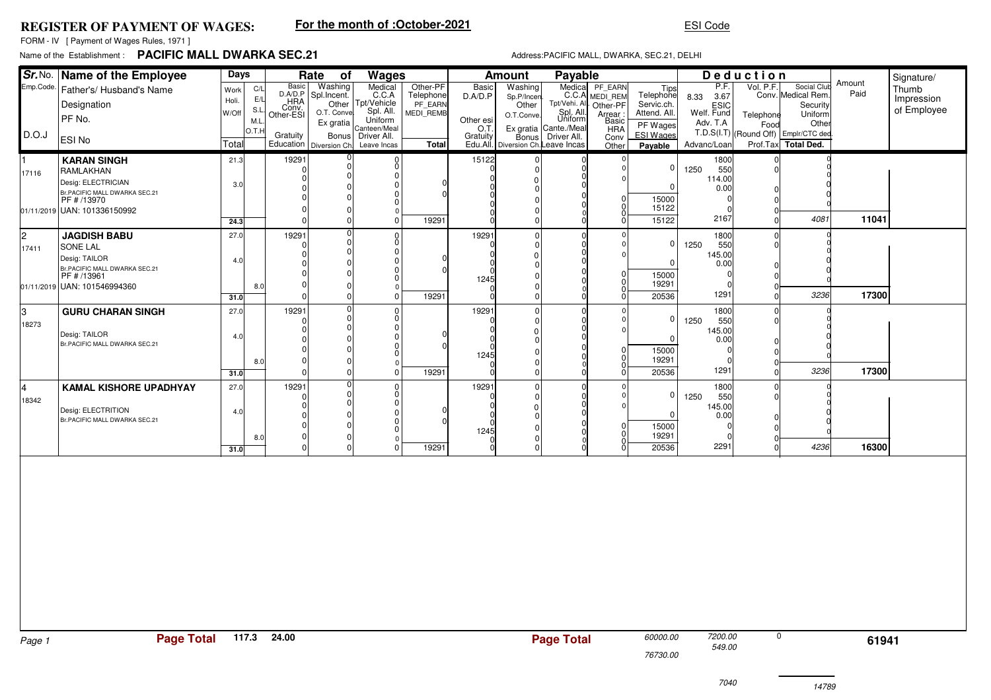## **REGISTER OF PAYMENT OF WAGES:**

# **For the month of :October-2021**

## ESI Code

FORM - IV [ Payment of Wages Rules, 1971 ]

# Name of the Establishment :**PACIFIC MALL DWARKA SEC.21**

### Address:PACIFIC MALL, DWARKA, SEC.21, DELHI

|           | Sr. No. Name of the Employee                   | Days  |            |                           | Rate<br>of                     | Wages                                                    |                      |           | <b>Amount</b>                                      | Payable              |                            |                              | Deduction             |           |                                               |                | Signature/  |
|-----------|------------------------------------------------|-------|------------|---------------------------|--------------------------------|----------------------------------------------------------|----------------------|-----------|----------------------------------------------------|----------------------|----------------------------|------------------------------|-----------------------|-----------|-----------------------------------------------|----------------|-------------|
| Emp.Code. | Father's/ Husband's Name                       | Work  | C/L        | Basic<br>D.A/D.P          | Washing                        | Medical                                                  | Other-PF             | Basic     | Washing                                            | Medical              | PF_EARN                    | Tips<br>Telephone            | P.F.                  | Vol. P.F. | Social Club                                   | Amount<br>Paid | Thumb       |
|           | Designation                                    | Holi. | E/L        |                           | Spl.Incent.                    | C.C.A<br>Other Tpt/Vehicle                               | Telephone<br>PF EARN | D.A/D.P   | Sp.P/Incen<br>Other                                | Tpt/Vehi. All        | C.C.A MEDI_REM<br>Other-PF | Servic.ch.                   | 8.33 3.67             |           | Conv. Medical Rem<br>Security                 |                | Impression  |
|           | PF No.                                         | W/Off | S.L<br>M.L | HRA<br>Conv.<br>Other-ESI | O.T. Conve                     | Spl. All.<br>Uniform                                     | <b>MEDI REMB</b>     | Other esi | O.T.Conve                                          | Spl. All.<br>Uniform | : Arrear<br>Basic          | Attend. All.                 | ESIC<br>Welf. Fund    | Telephone | Uniform                                       |                | of Employee |
| D.O.J     |                                                |       | O.T.       |                           | Ex gratia                      | Canteen/Mea                                              |                      | O.T.      | Ex gratia Cante./Meal                              |                      | <b>HRA</b>                 | PF Wages<br><b>ESI Wages</b> | Adv. T.A              | Food      | Other<br>T.D.S(I.T) (Round Off) Emplr/CTC ded |                |             |
|           | ESI No                                         | Total |            | Gratuity                  |                                | Bonus Driver All.<br>Education Diversion Ch. Leave Incas | <b>Total</b>         | Gratuity  | <b>Bonus</b><br>Edu.All. Diversion Ch. Leave Incas | Driver All.          | Conv<br>Other              | Payable                      | Advanc/Loan           |           | Prof.Tax Total Ded.                           |                |             |
| 1         | <b>KARAN SINGH</b>                             | 21.3  |            | 19291                     |                                |                                                          |                      | 15122     |                                                    |                      |                            |                              | 1800                  |           |                                               |                |             |
| 17116     | RAMLAKHAN                                      |       |            | $\Omega$<br>$\Omega$      | $\Omega$                       | $\Omega$<br><sup>0</sup>                                 |                      |           |                                                    |                      |                            | 0                            | 1250<br>550           |           |                                               |                |             |
|           | Desig: ELECTRICIAN                             | 3.0   |            |                           |                                |                                                          |                      |           |                                                    |                      |                            | $\Omega$                     | 114.00<br>0.00        |           |                                               |                |             |
|           | Br.PACIFIC MALL DWARKA SEC.21<br>PF # /13970   |       |            |                           |                                |                                                          |                      |           |                                                    |                      |                            | 15000                        |                       |           |                                               |                |             |
|           | 01/11/2019 UAN: 101336150992                   |       |            | $\Omega$                  |                                |                                                          |                      |           |                                                    |                      | $\overline{0}$             | 15122                        |                       |           |                                               |                |             |
|           |                                                | 24.3  |            | $\Omega$                  | $\overline{0}$                 | $\Omega$                                                 | 19291                |           |                                                    |                      | $_{0}^{0}$                 | 15122                        | 2167                  |           | 4081                                          | 11041          |             |
| 2         | <b>JAGDISH BABU</b>                            | 27.0  |            | 19291                     | $\Omega$<br>$\Omega$           | $\Omega$                                                 |                      | 19291     |                                                    |                      |                            |                              | 1800                  |           |                                               |                |             |
| 17411     | <b>SONE LAL</b>                                |       |            | 0                         |                                |                                                          |                      |           |                                                    |                      |                            | $\mathbf 0$                  | 1250<br>550           |           |                                               |                |             |
|           | Desig: TAILOR                                  | 4.0   |            |                           |                                |                                                          |                      |           |                                                    |                      |                            | $\mathbf 0$                  | 145.00<br>0.00        |           |                                               |                |             |
|           | Br.PACIFIC MALL DWARKA SEC.21<br>PF # /13961   |       |            | $\Omega$                  |                                | O                                                        |                      | 1245      |                                                    |                      | 0                          | 15000                        |                       |           |                                               |                |             |
|           | 01/11/2019 UAN: 101546994360                   |       | 8.0        | 0                         |                                |                                                          |                      |           |                                                    |                      | 0                          | 19291                        |                       |           |                                               |                |             |
|           |                                                | 31.0  |            | $\Omega$                  | $\overline{0}$                 | $\Omega$                                                 | 19291                |           |                                                    |                      |                            | 20536                        | 1291                  |           | 3236                                          | 17300          |             |
| lз        | <b>GURU CHARAN SINGH</b>                       | 27.0  |            | 19291                     | $\overline{0}$<br>$\mathbf{0}$ |                                                          |                      | 19291     |                                                    |                      |                            | 0                            | 1800                  |           |                                               |                |             |
| 18273     |                                                |       |            | 0                         | n                              | ŋ                                                        |                      |           |                                                    |                      |                            |                              | 1250<br>550<br>145.00 |           |                                               |                |             |
|           | Desig: TAILOR<br>Br.PACIFIC MALL DWARKA SEC.21 | 4.0   |            |                           |                                |                                                          |                      |           |                                                    |                      |                            | $\mathbf 0$                  | 0.00                  | O         |                                               |                |             |
|           |                                                |       |            |                           |                                |                                                          |                      | 1245      |                                                    |                      | 0l<br>$\overline{0}$       | 15000                        |                       |           |                                               |                |             |
|           |                                                |       | 8.0        | $\Omega$<br>$\Omega$      | $\Omega$<br>$\overline{0}$     |                                                          | 19291                |           |                                                    |                      |                            | 19291<br>20536               | 1291                  |           | 3236                                          | 17300          |             |
|           |                                                | 31.0  |            |                           | $\overline{0}$                 |                                                          |                      |           |                                                    |                      |                            |                              |                       |           |                                               |                |             |
| l4        | <b>KAMAL KISHORE UPADHYAY</b>                  | 27.0  |            | 19291<br>0                | $\Omega$                       |                                                          |                      | 19291     |                                                    |                      |                            | 0                            | 1800<br>1250<br>550   |           |                                               |                |             |
| 18342     | Desig: ELECTRITION                             |       |            | $\Omega$                  | $\Omega$                       | <sup>0</sup>                                             |                      |           |                                                    |                      |                            |                              | 145.00                |           |                                               |                |             |
|           | Br.PACIFIC MALL DWARKA SEC.21                  | 4.0   |            |                           | $\Omega$                       |                                                          |                      |           |                                                    |                      |                            | $\Omega$                     | 0.00                  |           |                                               |                |             |
|           |                                                |       |            | 0<br>0                    | 0                              | O                                                        |                      | 1245      |                                                    |                      | 0<br> 0                    | 15000<br>19291               |                       |           |                                               |                |             |
|           |                                                | 31.0  | 8.0        | $\Omega$                  | $\Omega$                       |                                                          | 19291                |           |                                                    |                      |                            | 20536                        | 2291                  |           | 4236                                          | 16300          |             |
|           |                                                |       |            |                           |                                |                                                          |                      |           |                                                    |                      |                            |                              |                       |           |                                               |                |             |
|           |                                                |       |            |                           |                                |                                                          |                      |           |                                                    |                      |                            |                              |                       |           |                                               |                |             |
|           |                                                |       |            |                           |                                |                                                          |                      |           |                                                    |                      |                            |                              |                       |           |                                               |                |             |
|           |                                                |       |            |                           |                                |                                                          |                      |           |                                                    |                      |                            |                              |                       |           |                                               |                |             |
|           |                                                |       |            |                           |                                |                                                          |                      |           |                                                    |                      |                            |                              |                       |           |                                               |                |             |
|           |                                                |       |            |                           |                                |                                                          |                      |           |                                                    |                      |                            |                              |                       |           |                                               |                |             |
|           |                                                |       |            |                           |                                |                                                          |                      |           |                                                    |                      |                            |                              |                       |           |                                               |                |             |
|           |                                                |       |            |                           |                                |                                                          |                      |           |                                                    |                      |                            |                              |                       |           |                                               |                |             |
|           |                                                |       |            |                           |                                |                                                          |                      |           |                                                    |                      |                            |                              |                       |           |                                               |                |             |
|           |                                                |       |            |                           |                                |                                                          |                      |           |                                                    |                      |                            |                              |                       |           |                                               |                |             |
|           |                                                |       |            |                           |                                |                                                          |                      |           |                                                    |                      |                            |                              |                       |           |                                               |                |             |
|           |                                                |       |            |                           |                                |                                                          |                      |           |                                                    |                      |                            |                              |                       |           |                                               |                |             |
|           |                                                |       |            |                           |                                |                                                          |                      |           |                                                    |                      |                            |                              |                       |           |                                               |                |             |
| Page 1    | <b>Page Total</b>                              |       | 117.3      | 24.00                     |                                |                                                          |                      |           |                                                    | <b>Page Total</b>    |                            | 60000.00                     | 7200.00               |           | 0                                             | 61941          |             |
|           |                                                |       |            |                           |                                |                                                          |                      |           |                                                    |                      |                            | 76730.00                     | 549.00                |           |                                               |                |             |
|           |                                                |       |            |                           |                                |                                                          |                      |           |                                                    |                      |                            |                              |                       |           |                                               |                |             |
|           |                                                |       |            |                           |                                |                                                          |                      |           |                                                    |                      |                            |                              |                       |           |                                               |                |             |
|           |                                                |       |            |                           |                                |                                                          |                      |           |                                                    |                      |                            |                              | 7040                  |           | 14789                                         |                |             |